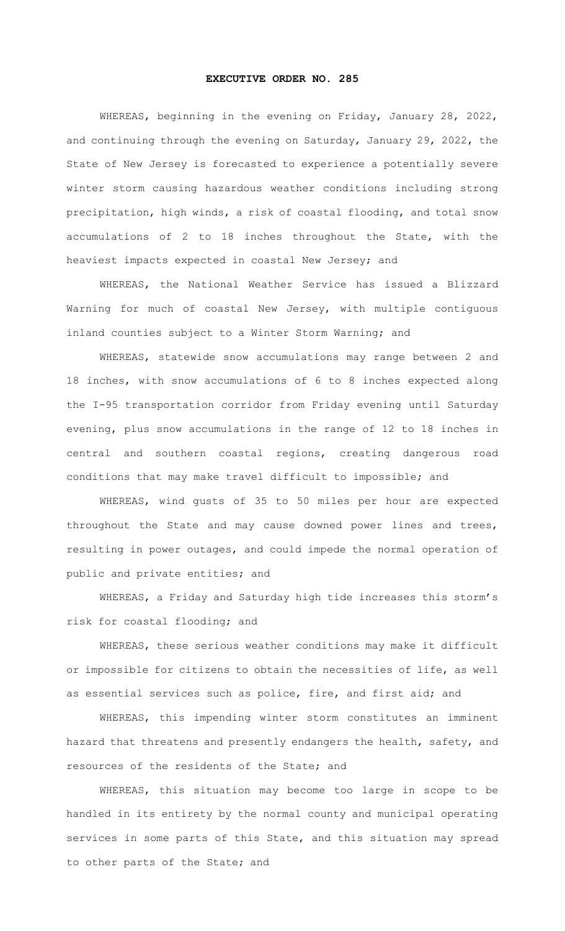## **EXECUTIVE ORDER NO. 285**

WHEREAS, beginning in the evening on Friday, January 28, 2022, and continuing through the evening on Saturday, January 29, 2022, the State of New Jersey is forecasted to experience a potentially severe winter storm causing hazardous weather conditions including strong precipitation, high winds, a risk of coastal flooding, and total snow accumulations of 2 to 18 inches throughout the State, with the heaviest impacts expected in coastal New Jersey; and

WHEREAS, the National Weather Service has issued a Blizzard Warning for much of coastal New Jersey, with multiple contiguous inland counties subject to a Winter Storm Warning; and

WHEREAS, statewide snow accumulations may range between 2 and 18 inches, with snow accumulations of 6 to 8 inches expected along the I-95 transportation corridor from Friday evening until Saturday evening, plus snow accumulations in the range of 12 to 18 inches in central and southern coastal regions, creating dangerous road conditions that may make travel difficult to impossible; and

WHEREAS, wind gusts of 35 to 50 miles per hour are expected throughout the State and may cause downed power lines and trees, resulting in power outages, and could impede the normal operation of public and private entities; and

WHEREAS, a Friday and Saturday high tide increases this storm's risk for coastal flooding; and

WHEREAS, these serious weather conditions may make it difficult or impossible for citizens to obtain the necessities of life, as well as essential services such as police, fire, and first aid; and

WHEREAS, this impending winter storm constitutes an imminent hazard that threatens and presently endangers the health, safety, and resources of the residents of the State; and

WHEREAS, this situation may become too large in scope to be handled in its entirety by the normal county and municipal operating services in some parts of this State, and this situation may spread to other parts of the State; and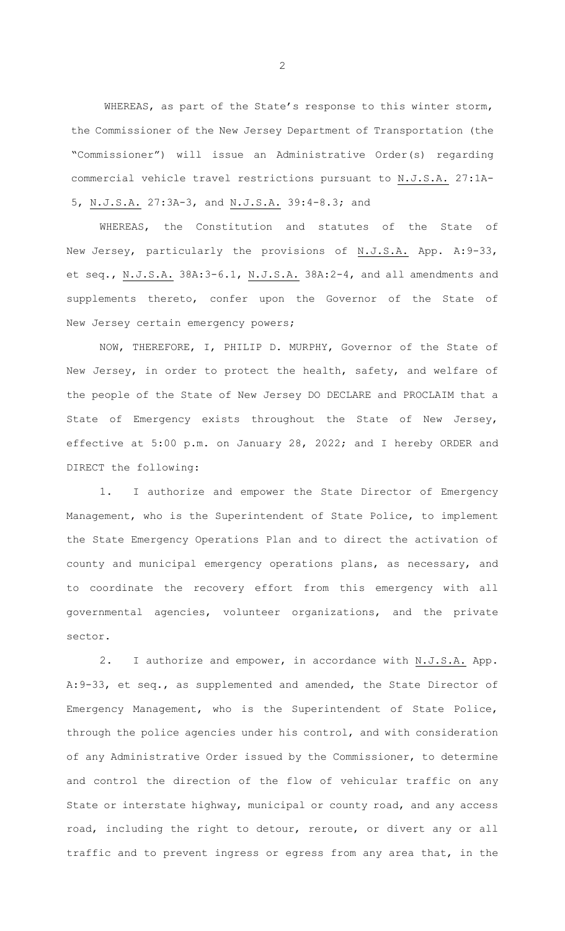WHEREAS, as part of the State's response to this winter storm, the Commissioner of the New Jersey Department of Transportation (the "Commissioner") will issue an Administrative Order(s) regarding commercial vehicle travel restrictions pursuant to N.J.S.A. 27:1A-5, N.J.S.A. 27:3A-3, and N.J.S.A. 39:4-8.3; and

WHEREAS, the Constitution and statutes of the State of New Jersey, particularly the provisions of N.J.S.A. App. A:9-33, et seq., N.J.S.A. 38A:3-6.1, N.J.S.A. 38A:2-4, and all amendments and supplements thereto, confer upon the Governor of the State of New Jersey certain emergency powers;

NOW, THEREFORE, I, PHILIP D. MURPHY, Governor of the State of New Jersey, in order to protect the health, safety, and welfare of the people of the State of New Jersey DO DECLARE and PROCLAIM that a State of Emergency exists throughout the State of New Jersey, effective at 5:00 p.m. on January 28, 2022; and I hereby ORDER and DIRECT the following:

1. I authorize and empower the State Director of Emergency Management, who is the Superintendent of State Police, to implement the State Emergency Operations Plan and to direct the activation of county and municipal emergency operations plans, as necessary, and to coordinate the recovery effort from this emergency with all governmental agencies, volunteer organizations, and the private sector.

2. I authorize and empower, in accordance with N.J.S.A. App. A:9-33, et seq., as supplemented and amended, the State Director of Emergency Management, who is the Superintendent of State Police, through the police agencies under his control, and with consideration of any Administrative Order issued by the Commissioner, to determine and control the direction of the flow of vehicular traffic on any State or interstate highway, municipal or county road, and any access road, including the right to detour, reroute, or divert any or all traffic and to prevent ingress or egress from any area that, in the

2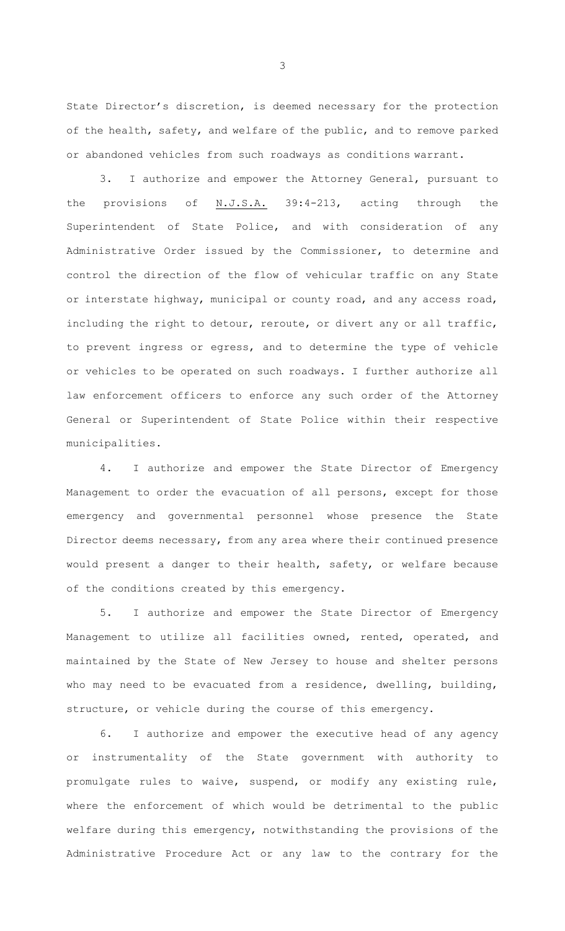State Director's discretion, is deemed necessary for the protection of the health, safety, and welfare of the public, and to remove parked or abandoned vehicles from such roadways as conditions warrant.

3. I authorize and empower the Attorney General, pursuant to the provisions of N.J.S.A. 39:4-213, acting through the Superintendent of State Police, and with consideration of any Administrative Order issued by the Commissioner, to determine and control the direction of the flow of vehicular traffic on any State or interstate highway, municipal or county road, and any access road, including the right to detour, reroute, or divert any or all traffic, to prevent ingress or egress, and to determine the type of vehicle or vehicles to be operated on such roadways. I further authorize all law enforcement officers to enforce any such order of the Attorney General or Superintendent of State Police within their respective municipalities.

4. I authorize and empower the State Director of Emergency Management to order the evacuation of all persons, except for those emergency and governmental personnel whose presence the State Director deems necessary, from any area where their continued presence would present a danger to their health, safety, or welfare because of the conditions created by this emergency.

5. I authorize and empower the State Director of Emergency Management to utilize all facilities owned, rented, operated, and maintained by the State of New Jersey to house and shelter persons who may need to be evacuated from a residence, dwelling, building, structure, or vehicle during the course of this emergency.

6. I authorize and empower the executive head of any agency or instrumentality of the State government with authority to promulgate rules to waive, suspend, or modify any existing rule, where the enforcement of which would be detrimental to the public welfare during this emergency, notwithstanding the provisions of the Administrative Procedure Act or any law to the contrary for the

3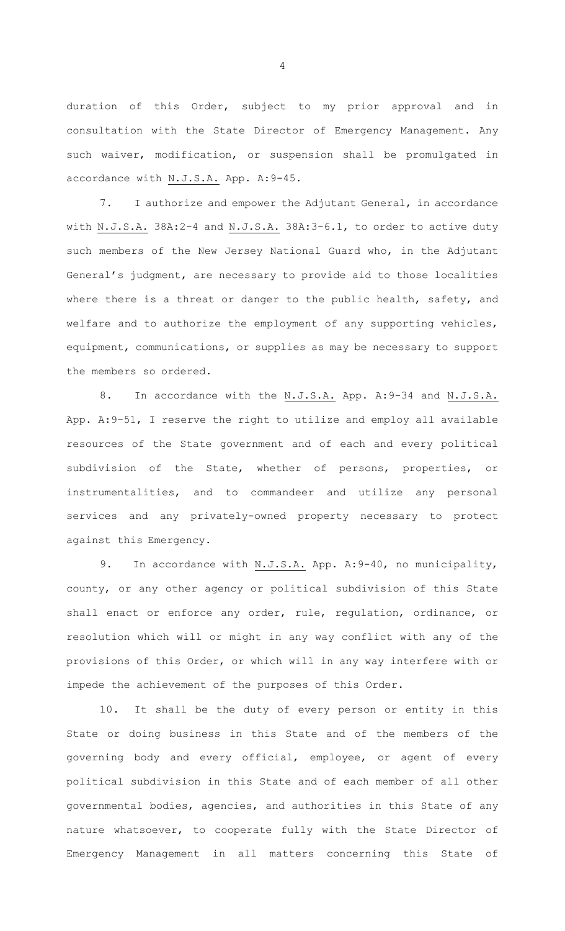duration of this Order, subject to my prior approval and in consultation with the State Director of Emergency Management. Any such waiver, modification, or suspension shall be promulgated in accordance with N.J.S.A. App. A:9-45.

7. I authorize and empower the Adjutant General, in accordance with N.J.S.A. 38A:2-4 and N.J.S.A. 38A:3-6.1, to order to active duty such members of the New Jersey National Guard who, in the Adjutant General's judgment, are necessary to provide aid to those localities where there is a threat or danger to the public health, safety, and welfare and to authorize the employment of any supporting vehicles, equipment, communications, or supplies as may be necessary to support the members so ordered.

8. In accordance with the N.J.S.A. App. A: 9-34 and N.J.S.A. App. A:9-51, I reserve the right to utilize and employ all available resources of the State government and of each and every political subdivision of the State, whether of persons, properties, or instrumentalities, and to commandeer and utilize any personal services and any privately-owned property necessary to protect against this Emergency.

9. In accordance with N.J.S.A. App. A: 9-40, no municipality, county, or any other agency or political subdivision of this State shall enact or enforce any order, rule, regulation, ordinance, or resolution which will or might in any way conflict with any of the provisions of this Order, or which will in any way interfere with or impede the achievement of the purposes of this Order.

10. It shall be the duty of every person or entity in this State or doing business in this State and of the members of the governing body and every official, employee, or agent of every political subdivision in this State and of each member of all other governmental bodies, agencies, and authorities in this State of any nature whatsoever, to cooperate fully with the State Director of Emergency Management in all matters concerning this State of

4